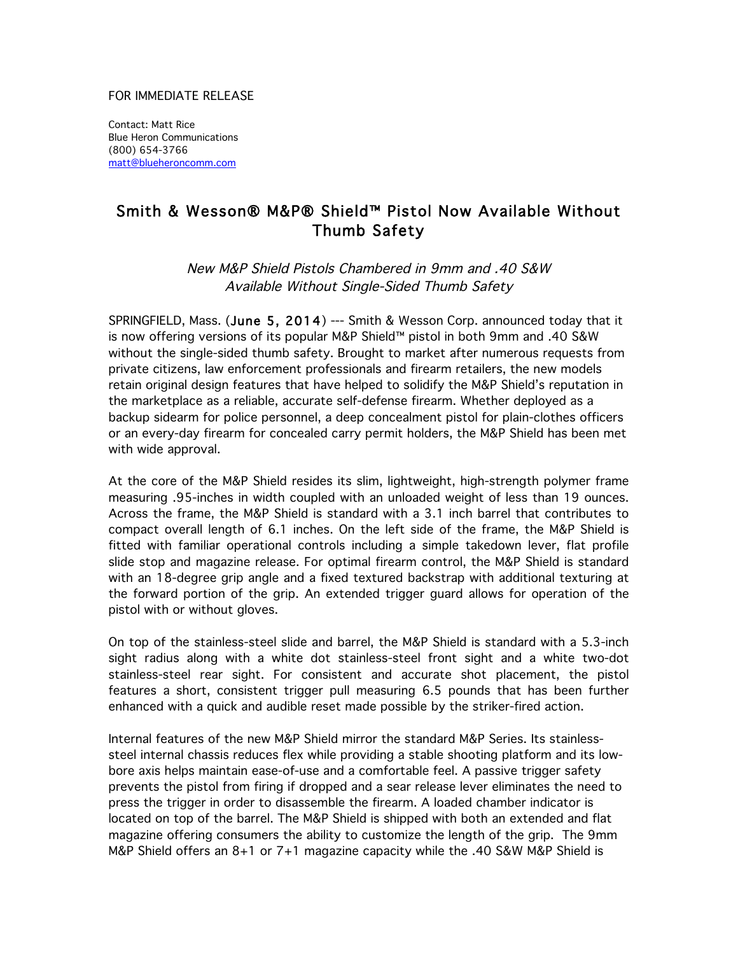## FOR IMMEDIATE RELEASE

Contact: Matt Rice Blue Heron Communications (800) 654-3766 matt@blueheroncomm.com

## Smith & Wesson® M&P® Shield™ Pistol Now Available Without Thumb Safety

New M&P Shield Pistols Chambered in 9mm and .40 S&W Available Without Single-Sided Thumb Safety

SPRINGFIELD, Mass. (June 5, 2014) --- Smith & Wesson Corp. announced today that it is now offering versions of its popular M&P Shield™ pistol in both 9mm and .40 S&W without the single-sided thumb safety. Brought to market after numerous requests from private citizens, law enforcement professionals and firearm retailers, the new models retain original design features that have helped to solidify the M&P Shield's reputation in the marketplace as a reliable, accurate self-defense firearm. Whether deployed as a backup sidearm for police personnel, a deep concealment pistol for plain-clothes officers or an every-day firearm for concealed carry permit holders, the M&P Shield has been met with wide approval.

At the core of the M&P Shield resides its slim, lightweight, high-strength polymer frame measuring .95-inches in width coupled with an unloaded weight of less than 19 ounces. Across the frame, the M&P Shield is standard with a 3.1 inch barrel that contributes to compact overall length of 6.1 inches. On the left side of the frame, the M&P Shield is fitted with familiar operational controls including a simple takedown lever, flat profile slide stop and magazine release. For optimal firearm control, the M&P Shield is standard with an 18-degree grip angle and a fixed textured backstrap with additional texturing at the forward portion of the grip. An extended trigger guard allows for operation of the pistol with or without gloves.

On top of the stainless-steel slide and barrel, the M&P Shield is standard with a 5.3-inch sight radius along with a white dot stainless-steel front sight and a white two-dot stainless-steel rear sight. For consistent and accurate shot placement, the pistol features a short, consistent trigger pull measuring 6.5 pounds that has been further enhanced with a quick and audible reset made possible by the striker-fired action.

Internal features of the new M&P Shield mirror the standard M&P Series. Its stainlesssteel internal chassis reduces flex while providing a stable shooting platform and its lowbore axis helps maintain ease-of-use and a comfortable feel. A passive trigger safety prevents the pistol from firing if dropped and a sear release lever eliminates the need to press the trigger in order to disassemble the firearm. A loaded chamber indicator is located on top of the barrel. The M&P Shield is shipped with both an extended and flat magazine offering consumers the ability to customize the length of the grip. The 9mm M&P Shield offers an 8+1 or 7+1 magazine capacity while the .40 S&W M&P Shield is